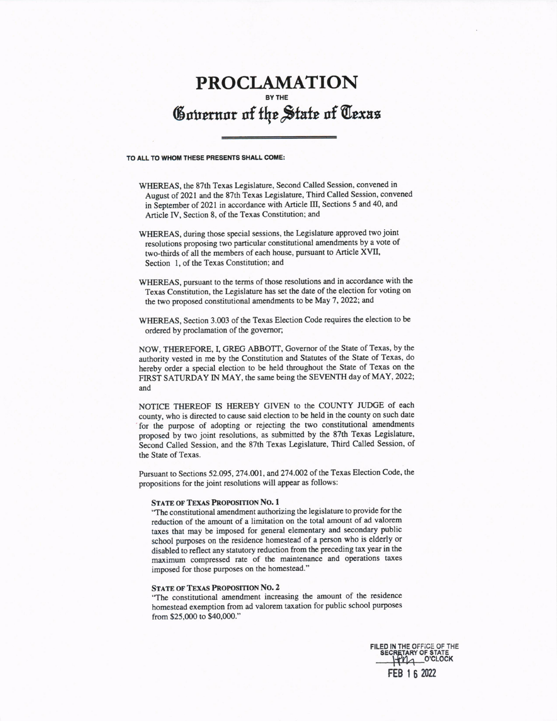## PROCLAMATION  $\mathfrak s$ outernor of the State of Texas  $\mathfrak s$

## TO ALL TO WHOM THESE PRESENTS SHALL COME:

WHEREAS, the 87th Texas Legislature, Second Called Session, convened in August of 2021 and the 87th Texas Legislature, Third Called Session, convened in September of 2O2l in accordance with Article [II, Sections 5 and 40, and Article IV, Section 8, of the Texas Constitution; and

- WHEREAS, during those special sessions, the Legislature approved two joint resolutions proposing two particular constitutional amendments by a vote of two+hirds of all the members of each house, pursuant to Article XVIL Section l, of the Texas Constitution; and
- WHEREAS, pursuant to the terms of those resolutions and in accordance with the Texas Constitution, the Legislature has set the date of the election for voting on the two proposed constitutional amendments to be May 7, 2022; and
- WHEREAS, Section 3.003 of the Texas Election Code requires the election to be ordered by proclamation of the governor;

NOW, THEREFORE, I, GREG ABBOTT, Governor of the State of Texas, by the authority vested in me by the Constilution and Statutes of the State of Texas, do hereby order a special election to be held throughout the State of Texas on the FIRST SATURDAY IN MAY, the same being the SEVENTH day of MAY, 2022; and

NOTICE THEREOF IS HEREBY GIVEN to the COUNTY JUDGE of each county, who is directed to cause said election to be held in the county on such date for the purpose of adopting or rejecting the two constitutional amendments proposed by two joint resolutions, as submitted by the 87th Texas Legislature, Second Called Session, and the 87th Texas Legislature, Third Called Session, of the State of Texas.

Pursuant to Sections 52.095, 274.001, and 274.002 of the Texas Election Code, the propositions for the joint resolutions will appear as follows:

## STATE OF TEXAS PROPOSITION NO. 1

."The constitutional amendment authorizing the legislature to provide for the reduction of the amount of a limitation on the total amount of ad valorem taxes that may be imposed for general elementary and secondary public school purposes on the residence homestead of a person who is elderly or disabled to reflect any statutory reduction from the preceding tax year in the maximum compressed rate of the maintenance and operations taxes imposed for those purposes on the homestead."

## STATE OF TEXAS PROPOSITION NO. 2

'"The constitutional amendment increasing the amount of the residence homestead exemption from ad valorem taxation for public school purposes from \$25,000 to \$40,000."

> FILEO IN THE OFF;CE OF THE SECRETARY OF STATE 0'CLOCK FEB I 6 202